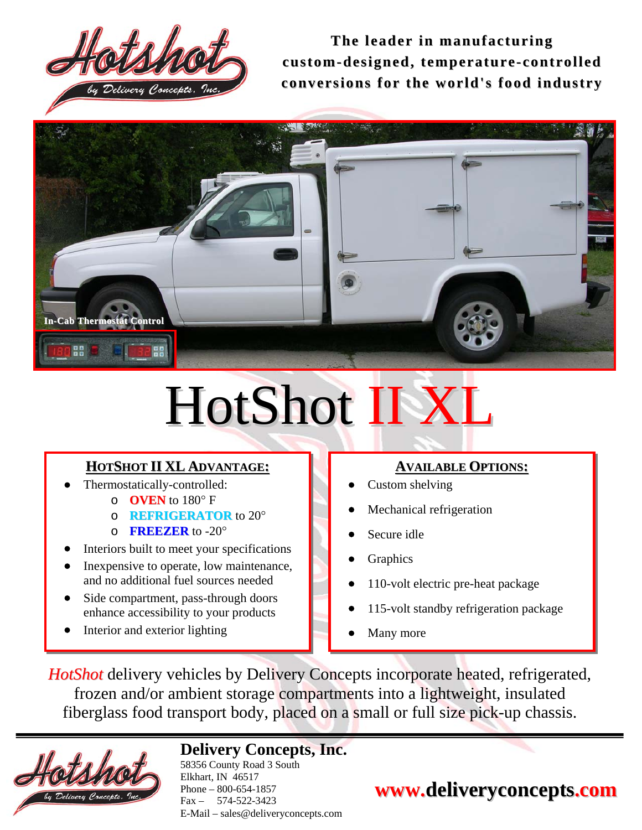

**The l eader in manufacturing custo m-designed, te mperature- controlled conversions for the world's food industry**



# HotShot II XI

## **HOTSHOT II XL ADVANTAGE:**

- Thermostatically-controlled:
	- o **OVEN** to 180° F
	- o **REFRIGERATOR** to 20°
	- o **FREEZER** to -20°
- Interiors built to meet your specifications
- In expensive to operate, low maintenance, and no additional fuel sources needed
- Side compartment, pass-through doors enhance accessibility to your products
- Interior and exterior lighting

## **AVAILABLE OPTIONS:**

- Custom shelving
- Mechanical refrigeration
- Secure idle
- **Graphics**
- 110-volt electric pre-heat package
- 115-volt standby refrigeration package
- Many more

*HotShot* delivery vehicles by Delivery Concepts incorporate heated, refrigerated, frozen and/or ambient storage compartments into a lightweight, insulated fiberglass food transport body, placed on a small or full size pick-up chassis.



# **Delivery Concepts, Inc.**

58356 County Road 3 South Elkhart, IN 46517 Phone – 800-654-1857 Fax – 574-522-3423 E-Mail – sales@deliveryconcepts.com

# **www.deliveryconcepts.com**